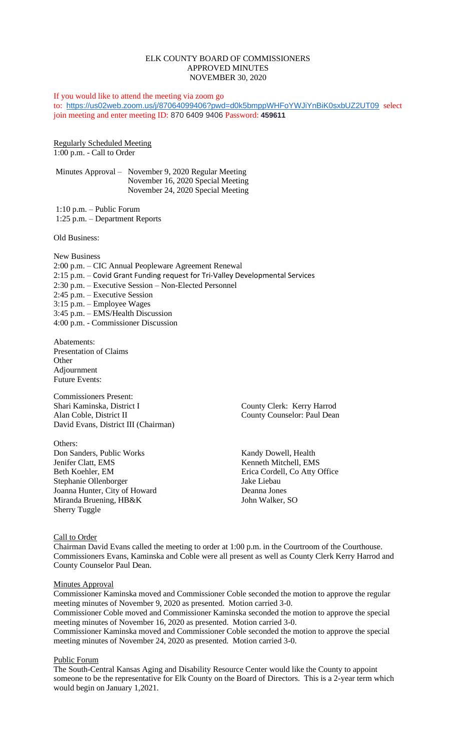#### ELK COUNTY BOARD OF COMMISSIONERS APPROVED MINUTES NOVEMBER 30, 2020

If you would like to attend the meeting via zoom go to: <https://us02web.zoom.us/j/87064099406?pwd=d0k5bmppWHFoYWJiYnBiK0sxbUZ2UT09> select join meeting and enter meeting ID: 870 6409 9406 Password: **459611**

Regularly Scheduled Meeting 1:00 p.m. - Call to Order

Minutes Approval – November 9, 2020 Regular Meeting November 16, 2020 Special Meeting November 24, 2020 Special Meeting

1:10 p.m. – Public Forum 1:25 p.m. – Department Reports

Old Business:

New Business 2:00 p.m. – CIC Annual Peopleware Agreement Renewal 2:15 p.m. – Covid Grant Funding request for Tri-Valley Developmental Services 2:30 p.m. – Executive Session – Non-Elected Personnel 2:45 p.m. – Executive Session 3:15 p.m. – Employee Wages 3:45 p.m. – EMS/Health Discussion 4:00 p.m. - Commissioner Discussion

Abatements: Presentation of Claims **Other** Adjournment Future Events:

Commissioners Present: Shari Kaminska, District I County Clerk: Kerry Harrod Alan Coble, District II County Counselor: Paul Dean David Evans, District III (Chairman)

Others: Don Sanders, Public Works Kandy Dowell, Health Jenifer Clatt, EMS<br>
Beth Koehler, EM<br>
Erica Cordell, Co Atty C Stephanie Ollenborger Joanna Hunter, City of Howard Deanna Jones Miranda Bruening, HB&K John Walker, SO Sherry Tuggle

Erica Cordell, Co Atty Office<br>Jake Liebau

## Call to Order

Chairman David Evans called the meeting to order at 1:00 p.m. in the Courtroom of the Courthouse. Commissioners Evans, Kaminska and Coble were all present as well as County Clerk Kerry Harrod and County Counselor Paul Dean.

#### **Minutes Approval**

Commissioner Kaminska moved and Commissioner Coble seconded the motion to approve the regular meeting minutes of November 9, 2020 as presented. Motion carried 3-0.

Commissioner Coble moved and Commissioner Kaminska seconded the motion to approve the special meeting minutes of November 16, 2020 as presented. Motion carried 3-0.

Commissioner Kaminska moved and Commissioner Coble seconded the motion to approve the special meeting minutes of November 24, 2020 as presented. Motion carried 3-0.

#### Public Forum

The South-Central Kansas Aging and Disability Resource Center would like the County to appoint someone to be the representative for Elk County on the Board of Directors. This is a 2-year term which would begin on January 1,2021.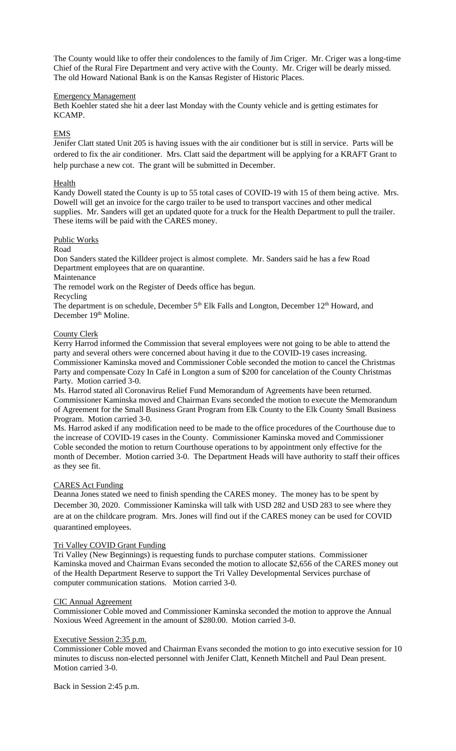The County would like to offer their condolences to the family of Jim Criger. Mr. Criger was a long-time Chief of the Rural Fire Department and very active with the County. Mr. Criger will be dearly missed. The old Howard National Bank is on the Kansas Register of Historic Places.

#### Emergency Management

Beth Koehler stated she hit a deer last Monday with the County vehicle and is getting estimates for KCAMP.

EMS

Jenifer Clatt stated Unit 205 is having issues with the air conditioner but is still in service. Parts will be ordered to fix the air conditioner. Mrs. Clatt said the department will be applying for a KRAFT Grant to help purchase a new cot. The grant will be submitted in December.

#### Health

Kandy Dowell stated the County is up to 55 total cases of COVID-19 with 15 of them being active. Mrs. Dowell will get an invoice for the cargo trailer to be used to transport vaccines and other medical supplies. Mr. Sanders will get an updated quote for a truck for the Health Department to pull the trailer. These items will be paid with the CARES money.

## Public Works

## Road

Don Sanders stated the Killdeer project is almost complete. Mr. Sanders said he has a few Road Department employees that are on quarantine.

Maintenance

The remodel work on the Register of Deeds office has begun.

Recycling

The department is on schedule, December  $5<sup>th</sup>$  Elk Falls and Longton, December  $12<sup>th</sup>$  Howard, and December 19th Moline.

## County Clerk

Kerry Harrod informed the Commission that several employees were not going to be able to attend the party and several others were concerned about having it due to the COVID-19 cases increasing. Commissioner Kaminska moved and Commissioner Coble seconded the motion to cancel the Christmas Party and compensate Cozy In Café in Longton a sum of \$200 for cancelation of the County Christmas Party. Motion carried 3-0.

Ms. Harrod stated all Coronavirus Relief Fund Memorandum of Agreements have been returned. Commissioner Kaminska moved and Chairman Evans seconded the motion to execute the Memorandum of Agreement for the Small Business Grant Program from Elk County to the Elk County Small Business Program. Motion carried 3-0.

Ms. Harrod asked if any modification need to be made to the office procedures of the Courthouse due to the increase of COVID-19 cases in the County. Commissioner Kaminska moved and Commissioner Coble seconded the motion to return Courthouse operations to by appointment only effective for the month of December. Motion carried 3-0. The Department Heads will have authority to staff their offices as they see fit.

## CARES Act Funding

Deanna Jones stated we need to finish spending the CARES money. The money has to be spent by December 30, 2020. Commissioner Kaminska will talk with USD 282 and USD 283 to see where they are at on the childcare program. Mrs. Jones will find out if the CARES money can be used for COVID quarantined employees.

## Tri Valley COVID Grant Funding

Tri Valley (New Beginnings) is requesting funds to purchase computer stations. Commissioner Kaminska moved and Chairman Evans seconded the motion to allocate \$2,656 of the CARES money out of the Health Department Reserve to support the Tri Valley Developmental Services purchase of computer communication stations. Motion carried 3-0.

#### CIC Annual Agreement

Commissioner Coble moved and Commissioner Kaminska seconded the motion to approve the Annual Noxious Weed Agreement in the amount of \$280.00. Motion carried 3-0.

## Executive Session 2:35 p.m.

Commissioner Coble moved and Chairman Evans seconded the motion to go into executive session for 10 minutes to discuss non-elected personnel with Jenifer Clatt, Kenneth Mitchell and Paul Dean present. Motion carried 3-0.

Back in Session 2:45 p.m.